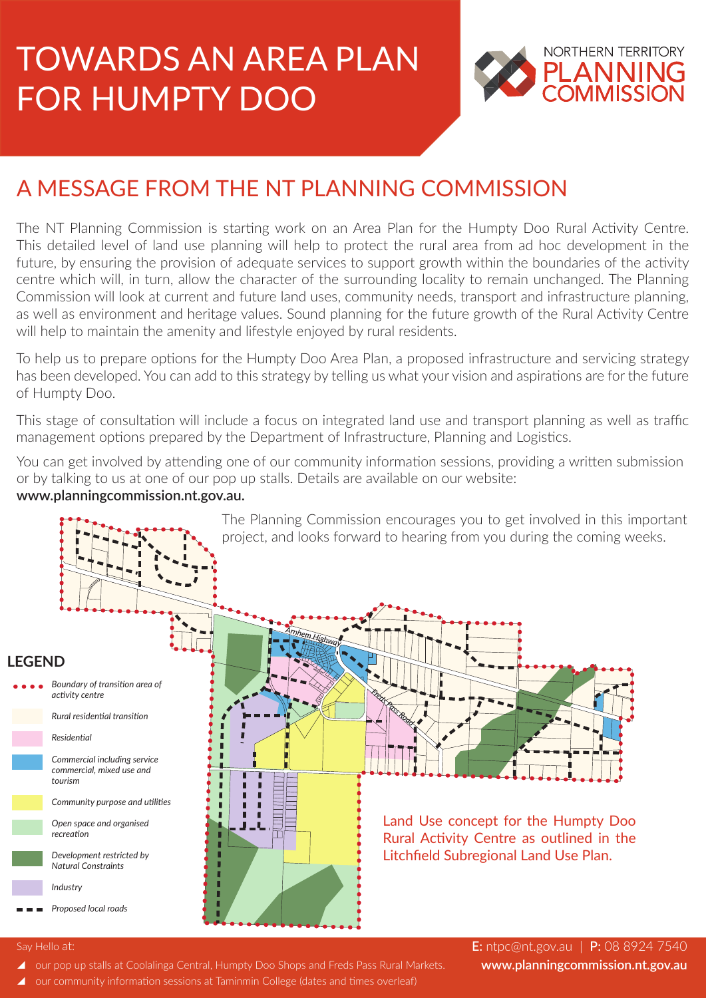# TOWARDS AN AREA PLAN FOR HUMPTY DOO



# A MESSAGE FROM THE NT PLANNING COMMISSION

The NT Planning Commission is starting work on an Area Plan for the Humpty Doo Rural Activity Centre. This detailed level of land use planning will help to protect the rural area from ad hoc development in the future, by ensuring the provision of adequate services to support growth within the boundaries of the activity centre which will, in turn, allow the character of the surrounding locality to remain unchanged. The Planning Commission will look at current and future land uses, community needs, transport and infrastructure planning, as well as environment and heritage values. Sound planning for the future growth of the Rural Activity Centre will help to maintain the amenity and lifestyle enjoyed by rural residents.

To help us to prepare options for the Humpty Doo Area Plan, a proposed infrastructure and servicing strategy has been developed. You can add to this strategy by telling us what your vision and aspirations are for the future of Humpty Doo.

This stage of consultation will include a focus on integrated land use and transport planning as well as traffic management options prepared by the Department of Infrastructure, Planning and Logistics.

You can get involved by attending one of our community information sessions, providing a written submission or by talking to us at one of our pop up stalls. Details are available on our website:

#### **www.planningcommission.nt.gov.au.**



#### Say Hello at:

E: ntpc@nt.gov.au | P: 08 8924 7540 **www.planningcommission.nt.gov.au**

- ▲ our pop up stalls at Coolalinga Central, Humpty Doo Shops and Freds Pass Rural Markets.
- our community information sessions at Taminmin College (dates and times overleaf)